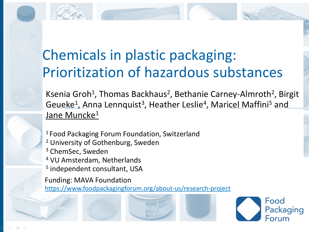## Chemicals in plastic packaging: Prioritization of hazardous substances

Ksenia Groh<sup>1</sup>, Thomas Backhaus<sup>2</sup>, Bethanie Carney-Almroth<sup>2</sup>, Birgit Geueke<sup>1</sup>, Anna Lennquist<sup>3</sup>, Heather Leslie<sup>4</sup>, Maricel Maffini<sup>5</sup> and Jane Muncke<sup>1</sup>

Food

Packaging

- <sup>1</sup> Food Packaging Forum Foundation, Switzerland
- <sup>2</sup> University of Gothenburg, Sweden
- <sup>3</sup> ChemSec, Sweden
- <sup>4</sup> VU Amsterdam, Netherlands
- 5 independent consultant, USA

Funding: MAVA Foundation <https://www.foodpackagingforum.org/about-us/research-project>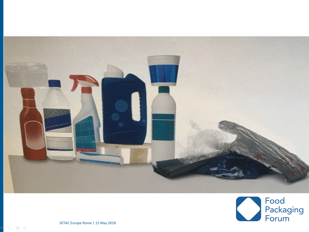

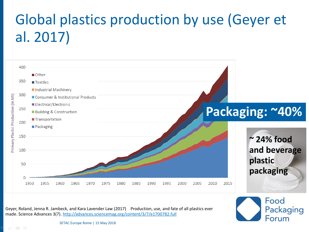# Global plastics production by use (Geyer et al. 2017)



Geyer, Roland, Jenna R. Jambeck, and Kara Lavender Law (2017) Production, use, and fate of all plastics ever made. Science Advances 3(7).<http://advances.sciencemag.org/content/3/7/e1700782.full>

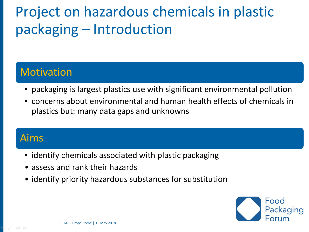## Project on hazardous chemicals in plastic packaging – Introduction

### Motivation

- packaging is largest plastics use with significant environmental pollution
- concerns about environmental and human health effects of chemicals in plastics but: many data gaps and unknowns

### Aims

- identify chemicals associated with plastic packaging
- assess and rank their hazards
- identify priority hazardous substances for substitution

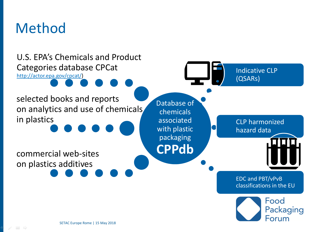### Method

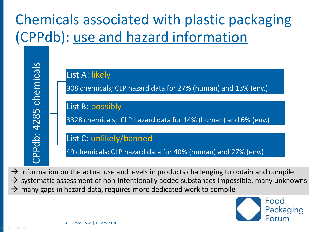# Chemicals associated with plastic packaging (CPPdb): use and hazard information



 $\rightarrow$  information on the actual use and levels in products challenging to obtain and compile  $\rightarrow$  systematic assessment of non-intentionally added substances impossible, many unknowns  $\rightarrow$  many gaps in hazard data, requires more dedicated work to compile

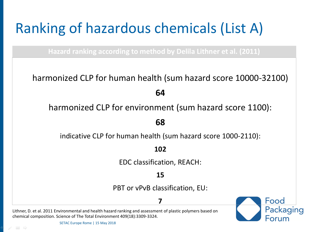# Ranking of hazardous chemicals (List A)

**Hazard ranking according to method by Delila Lithner et al. (2011)**

harmonized CLP for human health (sum hazard score 10000-32100)

**64**

harmonized CLP for environment (sum hazard score 1100):

**68**

indicative CLP for human health (sum hazard score 1000-2110):

**102**

EDC classification, REACH:

**15**

PBT or vPvB classification, EU:

#### **7**

Lithner, D. et al. 2011 Environmental and health hazard ranking and assessment of plastic polymers based on chemical composition. Science of The Total Environment 409(18):3309-3324.

Food Packaging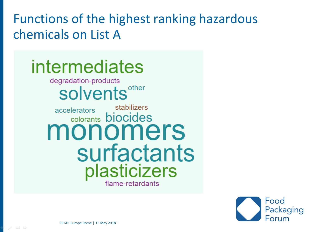Functions of the highest ranking hazardous chemicals on List A

### intermediates degradation-products solvents<sup>other</sup> stabilizers accelerators colorants **biocides** monomers surfactants plasticizers flame-retardants

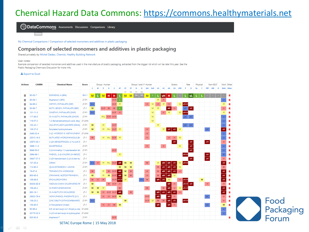### Chemical Hazard Data Commons: [https://commons.healthymaterials.net](https://commons.healthymaterials.net/)



My Chemical Comparisons / Comparison of selected monomers and additives in plastic packaging

#### Comparison of selected monomers and additives in plastic packaging

Shared privately by Michel Dedeo, Chemist, Healthy Building Network

User notes:

Example comparison of selected monomers and additives used in the manufacture of plastic packaging, extracted from the bigger list which will be later this year. See the Plastic Packaging Chemicals Discussion for more info.

#### Le Export to Excel

Home

| <b>Actions</b> | <b>CASRN</b>   | <b>Chemical Name</b>                                                                                                                                                                                                                                            | <b>Score</b> |     |       | Group   Human |             |                     |      |           |     |         | Group II and II* Human |                  |                       |                  | Ecotox                           |            |        |             | Physical |   | Non-GSLT         |          |                  | Mult Other |
|----------------|----------------|-----------------------------------------------------------------------------------------------------------------------------------------------------------------------------------------------------------------------------------------------------------------|--------------|-----|-------|---------------|-------------|---------------------|------|-----------|-----|---------|------------------------|------------------|-----------------------|------------------|----------------------------------|------------|--------|-------------|----------|---|------------------|----------|------------------|------------|
|                |                |                                                                                                                                                                                                                                                                 |              |     | $C$ M | R             | D           |                     | AT   | <b>ST</b> | ST  |         |                        |                  | IrS                   | IrE              | CA<br>AA                         | <b>ATI</b> |        |             | Rx       |   | <b>PBT</b><br>GW | $\Omega$ |                  | Mult Other |
|                |                |                                                                                                                                                                                                                                                                 |              |     |       |               |             |                     |      | sin       | rep | sin     | rep                    |                  |                       |                  |                                  |            |        |             |          |   |                  |          |                  |            |
| ш              | $80 - 05 - 7$  | BISPHENOL A (BPA)                                                                                                                                                                                                                                               | <b>BM-1</b>  | M.  |       |               | н           | н                   |      | M         | M   | DG   DG |                        | M                |                       | vH               |                                  |            |        |             |          |   |                  |          |                  | R          |
| 茴              | $80 - 09 - 1$  | Bisphenol S (BPS)                                                                                                                                                                                                                                               | LT-P1        |     |       |               |             | $H-M$               |      |           |     |         |                        |                  | M                     |                  |                                  |            |        |             |          |   |                  |          | U                | R          |
| û              | 84-66-2        | DIETHYL PHTHALATE (DEP)                                                                                                                                                                                                                                         | LT-P1        | H-L |       |               |             | $H-M$               | M    |           |     |         |                        | H                | $\boldsymbol{H}$<br>M | M                | H                                | M          | vH-H   |             |          |   |                  |          | M                | R          |
| ü              | 85-68-7        | BUTYL BENZYL PHTHALATE (BBP)                                                                                                                                                                                                                                    | $LT-1$       | M   |       | $H-M$ H       |             | H                   |      |           |     |         |                        |                  | M<br>M                |                  | vH                               |            | pC     | <b>VH</b>   |          |   |                  |          | H                |            |
| 茴              | 131-11-3       | DIMETHYL PHTHALATE (DMP)                                                                                                                                                                                                                                        | $LT-P1$      | H-L |       |               |             | $H-M$               | H    |           |     |         |                        |                  | M                     | $\boldsymbol{H}$ | M                                | M          | $vH-H$ |             |          |   |                  |          | M                |            |
| 茴              | 117-84-0       | DI-N-OCTYL PHTHALATE (DNOP)                                                                                                                                                                                                                                     | LT-P1        |     |       |               | M-L H-M H-M |                     |      |           |     |         |                        |                  | M                     |                  |                                  |            | pC.    | pC          |          |   |                  |          | U                |            |
| ü              | 119-07-3       | 1,2-Benzenedicarboxylic acid, decy LT-UNK                                                                                                                                                                                                                       |              |     |       |               |             |                     |      |           |     |         |                        |                  | M                     |                  |                                  |            |        |             |          |   |                  |          | $\boldsymbol{U}$ | R          |
| 面              | $103 - 23 - 1$ | DI(2-ETHYLHEXYL)ADIPATE (DEHA)                                                                                                                                                                                                                                  | LT-P1        | M   |       | M             |             | $H-M$               |      |           |     |         |                        |                  | M                     |                  |                                  |            |        | pC          |          |   |                  |          | $\boldsymbol{U}$ | R          |
| 茴              | 128-37-0       | Butylated hydroxytoluene                                                                                                                                                                                                                                        | $LT-P1$      | M   |       |               |             | $M$ $M-L$ $H-M$     | M    |           |     |         |                        | $\boldsymbol{H}$ |                       | M                | vH<br><b>vH</b>                  | <b>M</b>   |        |             |          |   | pC               |          | vΗ               | R          |
| 茴              | 2440-22-4      | 2-(2'-HYDROXY-5'-METHYLPHENY  LT-UNK                                                                                                                                                                                                                            |              |     |       |               |             |                     |      |           |     |         |                        | $\boldsymbol{H}$ |                       |                  |                                  |            |        |             |          |   |                  |          | $\boldsymbol{U}$ | R          |
| 茴              | 25013-16-5     | BUTYLATED HYDROXYANISOLE (BH                                                                                                                                                                                                                                    | LT-1         | H   |       |               |             | $M$ $M-L$ $H-M$ $M$ |      |           |     |         |                        | $\bar{H}$        |                       |                  | $H_{\odot}$<br>$\vert$ H $\vert$ | M          |        |             |          |   |                  |          | $\cal U$         | R          |
| 茴              | 25973-55-1     | 2-(2H-BENZOTRIAZOL-2-YL)-4,6-D LT-1                                                                                                                                                                                                                             |              |     |       |               |             |                     |      |           |     |         |                        |                  |                       |                  | vH                               |            |        | vΗ          |          |   | WH               |          | H                | R          |
| m              | 3896-11-5      | <b>BUMETRIZOLE</b>                                                                                                                                                                                                                                              | LT-P1        |     |       |               |             |                     |      |           |     |         |                        | $\boldsymbol{H}$ |                       | $\boldsymbol{H}$ |                                  | M          |        | vΗ          |          |   |                  |          | $\cup$           | R          |
| 茴              | 6846-50-0      | 2,2,4-trimethyl-1,3-pentanediol diis LT-P1                                                                                                                                                                                                                      |              |     |       |               |             | $H-M$               |      |           |     |         |                        |                  |                       |                  |                                  |            |        | vΗ          |          |   |                  |          | $\boldsymbol{U}$ | R          |
| 茴              | 3864-99-1      | PHENOL, 2-(5-CHLORO-2H-BENZC                                                                                                                                                                                                                                    | LT-1         |     |       |               |             |                     | M    |           |     |         |                        |                  |                       |                  |                                  |            | $vH-H$ |             |          |   | vH               |          | $\mathsf{U}$     | R          |
| 面              | 36437-37-3     | 2-(2H-benzotriazol-2-yl)-4-(tert-bu                                                                                                                                                                                                                             | LT-1         |     |       |               |             |                     |      |           |     |         |                        |                  |                       |                  |                                  |            |        | vΗ          |          |   | $\overline{H}$   |          | $\boldsymbol{H}$ | R          |
| 茴              | 137-30-4       | ZIRAM                                                                                                                                                                                                                                                           | LT-P1        |     |       |               | $M-L$       | $H-N$               | vH   | M         | M   |         |                        | H                | M                     | vH               | vH<br>vH                         |            | $vH-H$ |             |          |   |                  |          | vH               |            |
| m              | 112-90-3       | (Z)-9-OCTADECEN-1-AMINE                                                                                                                                                                                                                                         | LT-P1        |     |       |               |             |                     | M    | M         | M   |         |                        |                  | H                     | vΗ               | wH<br>vH                         |            |        |             |          |   |                  |          | $\mathsf H$      |            |
| Ö              | 76-87-9        | TRIPHENYLTIN HYDROXIDE                                                                                                                                                                                                                                          | $LT-1$       | H.  |       |               | H           | $H - N$             | vH   | M         | H   |         |                        | H                | H.                    | vH               | vH<br>vH                         |            |        |             |          |   |                  |          | vH               | R          |
| Ö              | 900-95-8       | STANNANE, ACETOXYTRIPHENYL                                                                                                                                                                                                                                      | $LT-1$       | M   |       | M             | M           | $H-N$               | vH   | M         | H   |         |                        | $\boldsymbol{H}$ | H                     | vH               | vH<br>M                          |            |        |             |          |   |                  |          | vH               |            |
| 茴              | 106-89-8       | <b>EPICHLOROHYDRIN</b>                                                                                                                                                                                                                                          | $LT-1$       | н.  | H     | H             |             | $H - N$             | vH-H | M         |     |         | $H-L$                  | H                | vH                    | ∣wH              | M                                | Н          | $vH-H$ |             |          | M |                  |          | vH               | п          |
| m              | 85535-85-9     | MEDIUM-CHAIN CHLORINATED PA                                                                                                                                                                                                                                     | LT-1         | M   |       |               |             | $H$ $H$ - $M$       | H    |           |     |         |                        |                  |                       |                  | vH                               |            |        | $vH-H$ $vH$ |          |   | H                |          | $\overline{H}$   |            |
| 茴              | 108-45-2       | M-PHENYLENEDIAMINE                                                                                                                                                                                                                                              | $LT-P1$      | M   | M     | M             |             |                     | н    |           |     |         |                        | $\mathsf H$      |                       | $\mathbf H$      | vH                               |            | $vH-H$ |             |          |   |                  |          | vH               | R          |
| 茴              | 683-18-1       | DI-N-BUTYLTIN DICHLORIDE                                                                                                                                                                                                                                        | $LT-1$       | M   | M     | H             | $H-M$ $H-M$ |                     | WH   |           | H   |         |                        |                  | vH                    | wH               | wH<br>vH                         |            |        |             |          |   |                  |          | vH               |            |
| 茴              | 26523-78-4     | NONYLPHENOL PHOSPHITE (3:1)                                                                                                                                                                                                                                     | $LT-1$       |     |       | н             | H           | $H-M$               | M    |           |     |         |                        | $H-M$            | vH                    |                  | vH<br>H                          |            |        |             |          |   | pC               |          | $\boldsymbol{H}$ | R          |
| 茴              | 136-23-2       | ZINC DIBUTYLDITHIOCARBAMATE                                                                                                                                                                                                                                     | LT-P1        | H-L |       |               |             |                     |      | M         |     |         |                        | $H-M$            | $\mathsf H$<br>M      | H                | vH<br>vH                         |            | $vH-H$ |             |          |   |                  |          | $\boldsymbol{H}$ |            |
| 茴              | 104-40-5       | 4-Nonylphenol (linear)                                                                                                                                                                                                                                          | $LT-1$       |     |       |               | $H$ $H$     | H M                 |      |           |     |         |                        |                  | vH                    |                  | vH<br>H                          |            |        |             |          |   | pC               |          | M                | R          |
| û              | $90 - 66 - 4$  | 6,6'-di-tert-butyl-2,2'-thiodi-p-cres LT-UNK                                                                                                                                                                                                                    |              |     |       |               |             |                     |      |           |     |         |                        |                  |                       |                  |                                  |            |        |             |          |   |                  |          | $\boldsymbol{U}$ |            |
| 茴              | 20170-32-5     | 3-(3,5-di-tert-butyl-4-hydroxypher LT-UNK                                                                                                                                                                                                                       |              |     |       |               |             |                     |      |           |     |         |                        |                  |                       |                  |                                  |            |        |             |          |   |                  |          | $\boldsymbol{U}$ |            |
| û              | 620-92-8       | bisphenol F                                                                                                                                                                                                                                                     | LT-P1        |     |       |               |             | $H-M$               |      |           |     |         |                        |                  |                       |                  |                                  |            |        |             |          |   |                  |          |                  | R          |
|                |                | $CFTAC$ $F_{2}$ $F_{3}$ $F_{4}$ $F_{5}$ $F_{5}$ $F_{6}$ $F_{7}$ $F_{8}$ $F_{9}$ $F_{1}$ $F_{1}$ $F_{1}$ $F_{2}$ $F_{3}$ $F_{4}$ $F_{5}$ $F_{6}$ $F_{7}$ $F_{8}$ $F_{9}$ $F_{1}$ $F_{1}$ $F_{1}$ $F_{1}$ $F_{2}$ $F_{3}$ $F_{4}$ $F_{5}$ $F_{6}$ $F_{7}$ $F_{8}$ |              |     |       |               |             |                     |      |           |     |         |                        |                  |                       |                  |                                  |            |        |             |          |   |                  |          |                  |            |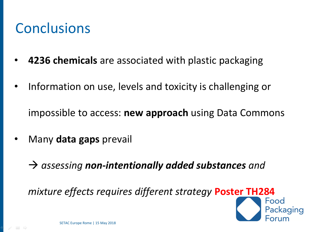### Conclusions

- **4236 chemicals** are associated with plastic packaging
- Information on use, levels and toxicity is challenging or

impossible to access: **new approach** using Data Commons

- Many **data gaps** prevail
	- → *assessing non-intentionally added substances and*

*mixture effects requires different strategy* **Poster TH284**